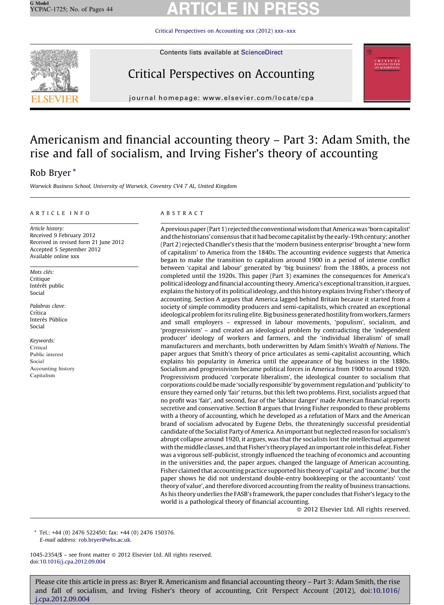[Critical Perspectives on Accounting xxx \(2012\) xxx–xxx](http://dx.doi.org/10.1016/j.cpa.2012.09.004)



Contents lists available at [ScienceDirect](http://www.sciencedirect.com/science/journal/10452354)

## Critical Perspectives on Accounting



journal homepage: www.elsevier.com/locate/cpa

## Americanism and financial accounting theory – Part 3: Adam Smith, the rise and fall of socialism, and Irving Fisher's theory of accounting

## Rob Bryer \*

Warwick Business School, University of Warwick, Coventry CV4 7 AL, United Kingdom

### ARTICLE INFO

Article history: Received 9 February 2012 Received in revised form 21 June 2012 Accepted 5 September 2012 Available online xxx

Mots clés: Critique Intérêt public Social

Palabras clave: Crítica Interés Público Social

Keywords: Critical Public interest Social Accounting history Capitalism

### ABSTRACT

A previous paper (Part 1) rejected the conventionalwisdom that Americawas 'born capitalist' and thehistorians'consensus that it had become capitalist by the early-19th century; another (Part 2) rejected Chandler's thesis that the 'modern business enterprise' brought a 'new form of capitalism' to America from the 1840s. The accounting evidence suggests that America began to make the transition to capitalism around 1900 in a period of intense conflict between 'capital and labour' generated by 'big business' from the 1880s, a process not completed until the 1920s. This paper (Part 3) examines the consequences for America's political ideology andfinancial accounting theory.America's exceptional transition, it argues, explains the history of its political ideology, and this history explains Irving Fisher's theory of accounting. Section A argues that America lagged behind Britain because it started from a society of simple commodity producers and semi-capitalists, which created an exceptional ideological problem for its ruling elite. Big business generated hostility fromworkers, farmers and small employers – expressed in labour movements, 'populism', socialism, and 'progressivism' – and created an ideological problem by contradicting the 'independent producer' ideology of workers and farmers, and the 'individual liberalism' of small manufacturers and merchants, both underwritten by Adam Smith's Wealth of Nations. The paper argues that Smith's theory of price articulates as semi-capitalist accounting, which explains his popularity in America until the appearance of big business in the 1880s. Socialism and progressivism became political forces in America from 1900 to around 1920. Progressivism produced 'corporate liberalism', the ideological counter to socialism that corporations could bemade 'socially responsible' by government regulation and 'publicity' to ensure they earned only 'fair' returns, but this left two problems. First, socialists argued that no profit was 'fair', and second, fear of the 'labour danger' made American financial reports secretive and conservative. Section B argues that Irving Fisher responded to these problems with a theory of accounting, which he developed as a refutation of Marx and the American brand of socialism advocated by Eugene Debs, the threateningly successful presidential candidate of the Socialist Party of America. An important but neglected reason for socialism's abrupt collapse around 1920, it argues, was that the socialists lost the intellectual argument with themiddle classes, and that Fisher's theoryplayed an important role in this defeat. Fisher was a vigorous self-publicist, strongly influenced the teaching of economics and accounting in the universities and, the paper argues, changed the language of American accounting. Fisher claimed that accounting practice supported his theory of 'capital' and 'income', but the paper shows he did not understand double-entry bookkeeping or the accountants' 'cost theory of value', and therefore divorced accounting from the reality of business transactions. As his theory underlies the FASB's framework, the paper concludes that Fisher's legacy to the world is a pathological theory of financial accounting.

- 2012 Elsevier Ltd. All rights reserved.

\* Tel.: +44 (0) 2476 522450; fax: +44 (0) 2476 150376. E-mail address: [rob.bryer@wbs.ac.uk.](mailto:rob.bryer@wbs.ac.uk)

1045-2354/\$ – see front matter © 2012 Elsevier Ltd. All rights reserved. doi:[10.1016/j.cpa.2012.09.004](http://dx.doi.org/10.1016/j.cpa.2012.09.004)

Please cite this article in press as: Bryer R. Americanism and financial accounting theory – Part 3: Adam Smith, the rise and fall of socialism, and Irving Fisher's theory of accounting, Crit Perspect Account (2012), doi:[10.1016/](http://dx.doi.org/10.1016/j.cpa.2012.09.004) [j.cpa.2012.09.004](http://dx.doi.org/10.1016/j.cpa.2012.09.004)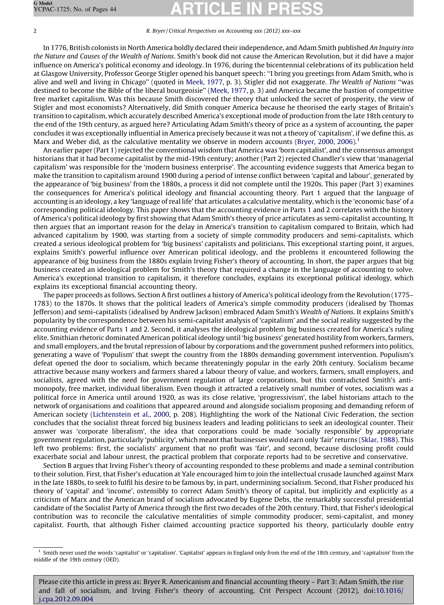### 2 R. Bryer / Critical Perspectives on Accounting xxx (2012) xxx-xxx

In 1776, British colonists in North America boldly declared their independence, and Adam Smith published An Inquiry into the Nature and Causes of the Wealth of Nations. Smith's book did not cause the American Revolution, but it did have a major influence on America's political economy and ideology. In 1976, during the bicentennial celebrations of its publication held at Glasgow University, Professor George Stigler opened his banquet speech: ''I bring you greetings from Adam Smith, who is alive and well and living in Chicago'' (quoted in [Meek, 1977](#page--1-0), p. 3). Stigler did not exaggerate. The Wealth of Nations ''was destined to become the Bible of the liberal bourgeoisie'' [\(Meek, 1977](#page--1-0), p. 3) and America became the bastion of competitive free market capitalism. Was this because Smith discovered the theory that unlocked the secret of prosperity, the view of Stigler and most economists? Alternatively, did Smith conquer America because he theorised the early stages of Britain's transition to capitalism, which accurately described America's exceptional mode of production from the late 18th century to the end of the 19th century, as argued here? Articulating Adam Smith's theory of price as a system of accounting, the paper concludes it was exceptionally influential in America precisely because it was not a theory of 'capitalism', if we define this, as Marx and Weber did, as the calculative mentality we observe in modern accounts ([Bryer, 2000, 2006\)](#page--1-0).<sup>1</sup>

An earlier paper (Part 1) rejected the conventional wisdom that America was 'born capitalist', and the consensus amongst historians that it had become capitalist by the mid-19th century; another (Part 2) rejected Chandler's view that 'managerial capitalism' was responsible for the 'modern business enterprise'. The accounting evidence suggests that America began to make the transition to capitalism around 1900 during a period of intense conflict between 'capital and labour', generated by the appearance of 'big business' from the 1880s, a process it did not complete until the 1920s. This paper (Part 3) examines the consequences for America's political ideology and financial accounting theory. Part 1 argued that the language of accounting is an ideology, a key 'language of real life' that articulates a calculative mentality, which is the 'economic base' of a corresponding political ideology. This paper shows that the accounting evidence in Parts 1 and 2 correlates with the history of America's political ideology by first showing that Adam Smith's theory of price articulates as semi-capitalist accounting. It then argues that an important reason for the delay in America's transition to capitalism compared to Britain, which had advanced capitalism by 1900, was starting from a society of simple commodity producers and semi-capitalists, which created a serious ideological problem for 'big business' capitalists and politicians. This exceptional starting point, it argues, explains Smith's powerful influence over American political ideology, and the problems it encountered following the appearance of big business from the 1880s explain Irving Fisher's theory of accounting. In short, the paper argues that big business created an ideological problem for Smith's theory that required a change in the language of accounting to solve. America's exceptional transition to capitalism, it therefore concludes, explains its exceptional political ideology, which explains its exceptional financial accounting theory.

The paper proceeds as follows. Section A first outlines a history of America's political ideology from the Revolution (1775– 1783) to the 1870s. It shows that the political leaders of America's simple commodity producers (idealised by Thomas Jefferson) and semi-capitalists (idealised by Andrew Jackson) embraced Adam Smith's Wealth of Nations. It explains Smith's popularity by the correspondence between his semi-capitalist analysis of 'capitalism' and the social reality suggested by the accounting evidence of Parts 1 and 2. Second, it analyses the ideological problem big business created for America's ruling elite. Smithian rhetoric dominated American political ideology until 'big business' generated hostility from workers, farmers, and small employers, and the brutal repression of labour by corporations and the government pushed reformers into politics, generating a wave of 'Populism' that swept the country from the 1880s demanding government intervention. Populism's defeat opened the door to socialism, which became threateningly popular in the early 20th century. Socialism became attractive because many workers and farmers shared a labour theory of value, and workers, farmers, small employers, and socialists, agreed with the need for government regulation of large corporations, but this contradicted Smith's antimonopoly, free market, individual liberalism. Even though it attracted a relatively small number of votes, socialism was a political force in America until around 1920, as was its close relative, 'progressivism', the label historians attach to the network of organisations and coalitions that appeared around and alongside socialism proposing and demanding reform of American society [\(Lichtenstein et al., 2000,](#page--1-0) p. 208). Highlighting the work of the National Civic Federation, the section concludes that the socialist threat forced big business leaders and leading politicians to seek an ideological counter. Their answer was 'corporate liberalism', the idea that corporations could be made 'socially responsible' by appropriate government regulation, particularly 'publicity', which meant that businesses would earn only 'fair' returns [\(Sklar, 1988\)](#page--1-0). This left two problems: first, the socialists' argument that no profit was 'fair', and second, because disclosing profit could exacerbate social and labour unrest, the practical problem that corporate reports had to be secretive and conservative.

Section B argues that Irving Fisher's theory of accounting responded to these problems and made a seminal contribution to their solution. First, that Fisher's education at Yale encouraged him to join the intellectual crusade launched against Marx in the late 1880s, to seek to fulfil his desire to be famous by, in part, undermining socialism. Second, that Fisher produced his theory of 'capital' and 'income', ostensibly to correct Adam Smith's theory of capital, but implicitly and explicitly as a criticism of Marx and the American brand of socialism advocated by Eugene Debs, the remarkably successful presidential candidate of the Socialist Party of America through the first two decades of the 20th century. Third, that Fisher's ideological contribution was to reconcile the calculative mentalities of simple commodity producer, semi-capitalist, and money capitalist. Fourth, that although Fisher claimed accounting practice supported his theory, particularly double entry

<sup>1</sup> Smith never used the words 'capitalist' or 'capitalism'. 'Capitalist' appears in England only from the end of the 18th century, and 'capitalism' from the middle of the 19th century (OED).

Please cite this article in press as: Bryer R. Americanism and financial accounting theory – Part 3: Adam Smith, the rise and fall of socialism, and Irving Fisher's theory of accounting, Crit Perspect Account (2012), doi[:10.1016/](http://dx.doi.org/10.1016/j.cpa.2012.09.004) [j.cpa.2012.09.004](http://dx.doi.org/10.1016/j.cpa.2012.09.004)